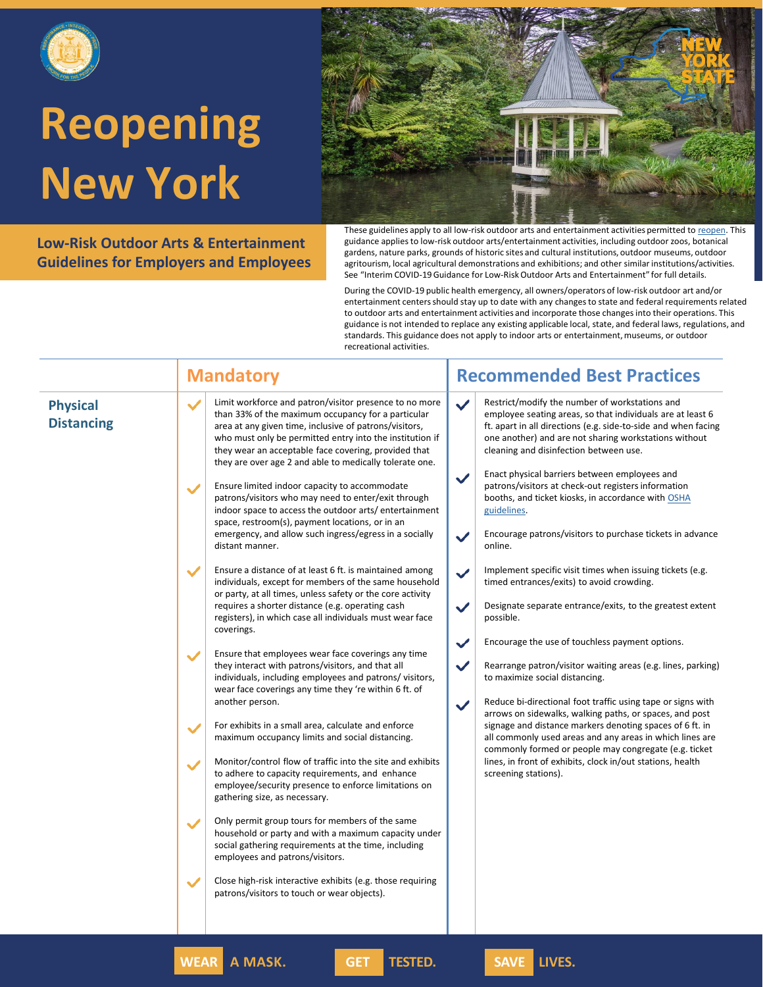

**Low-Risk Outdoor Arts & Entertainment Guidelines for Employers and Employees**



These guidelines apply to all low-risk outdoor arts and entertainment activities permitted to [reopen.](https://forward.ny.gov/) This guidance applies to low-risk outdoor arts/entertainment activities, including outdoor zoos, botanical gardens, nature parks, grounds of historic sites and cultural institutions, outdoor museums, outdoor agritourism, local agricultural demonstrations and exhibitions; and other similar institutions/activities. See "Interim COVID-19 Guidance for Low-Risk Outdoor Arts and Entertainment" for full details.

During the COVID-19 public health emergency, all owners/operators of low-risk outdoor art and/or entertainment centers should stay up to date with any changes to state and federal requirements related to outdoor arts and entertainment activities and incorporate those changes into their operations. This guidance is not intended to replace any existing applicable local, state, and federal laws, regulations, and standards. This guidance does not apply to indoor arts or entertainment, museums, or outdoor recreational activities.

**Mandatory Recommended Best Practices** 

|--|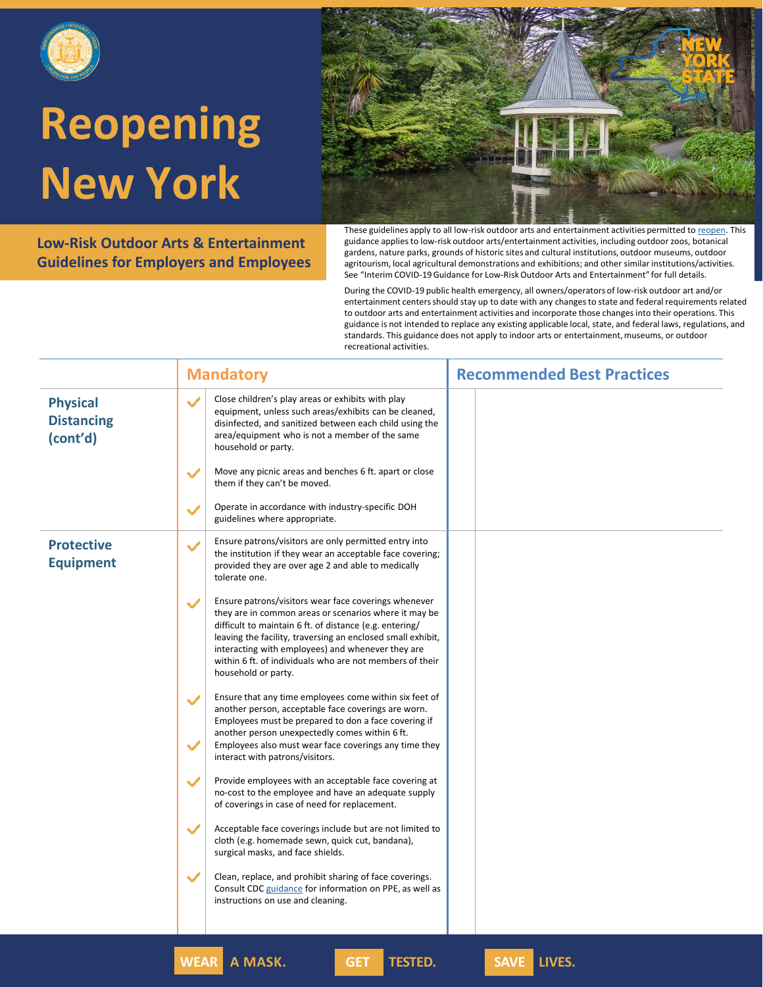

**Low-Risk Outdoor Arts & Entertainment Guidelines for Employers and Employees**

These guidelines apply to all low-risk outdoor arts and entertainment activities permitted to [reopen.](https://forward.ny.gov/) This guidance applies to low-risk outdoor arts/entertainment activities, including outdoor zoos, botanical gardens, nature parks, grounds of historic sites and cultural institutions, outdoor museums, outdoor agritourism, local agricultural demonstrations and exhibitions; and other similar institutions/activities. See "Interim COVID-19 Guidance for Low-Risk Outdoor Arts and Entertainment" for full details.

During the COVID-19 public health emergency, all owners/operators of low-risk outdoor art and/or entertainment centers should stay up to date with any changes to state and federal requirements related to outdoor arts and entertainment activities and incorporate those changes into their operations. This guidance is not intended to replace any existing applicable local, state, and federal laws, regulations, and standards. This guidance does not apply to indoor arts or entertainment, museums, or outdoor recreational activities.

|                                                  | <b>Mandatory</b>                                                                                                                                                                                                                                                                                                                                                                                | <b>Recommended Best Practices</b> |
|--------------------------------------------------|-------------------------------------------------------------------------------------------------------------------------------------------------------------------------------------------------------------------------------------------------------------------------------------------------------------------------------------------------------------------------------------------------|-----------------------------------|
| <b>Physical</b><br><b>Distancing</b><br>(cont'd) | Close children's play areas or exhibits with play<br>$\checkmark$<br>equipment, unless such areas/exhibits can be cleaned,<br>disinfected, and sanitized between each child using the<br>area/equipment who is not a member of the same<br>household or party.                                                                                                                                  |                                   |
|                                                  | Move any picnic areas and benches 6 ft. apart or close<br>$\checkmark$<br>them if they can't be moved.                                                                                                                                                                                                                                                                                          |                                   |
|                                                  | Operate in accordance with industry-specific DOH<br>$\checkmark$<br>guidelines where appropriate.                                                                                                                                                                                                                                                                                               |                                   |
| <b>Protective</b><br><b>Equipment</b>            | Ensure patrons/visitors are only permitted entry into<br>$\checkmark$<br>the institution if they wear an acceptable face covering;<br>provided they are over age 2 and able to medically<br>tolerate one.                                                                                                                                                                                       |                                   |
|                                                  | Ensure patrons/visitors wear face coverings whenever<br>$\checkmark$<br>they are in common areas or scenarios where it may be<br>difficult to maintain 6 ft. of distance (e.g. entering/<br>leaving the facility, traversing an enclosed small exhibit,<br>interacting with employees) and whenever they are<br>within 6 ft. of individuals who are not members of their<br>household or party. |                                   |
|                                                  | Ensure that any time employees come within six feet of<br>$\checkmark$<br>another person, acceptable face coverings are worn.<br>Employees must be prepared to don a face covering if<br>another person unexpectedly comes within 6 ft.<br>Employees also must wear face coverings any time they<br>$\checkmark$<br>interact with patrons/visitors.                                             |                                   |
|                                                  | $\checkmark$<br>Provide employees with an acceptable face covering at<br>no-cost to the employee and have an adequate supply<br>of coverings in case of need for replacement.                                                                                                                                                                                                                   |                                   |
|                                                  | $\checkmark$<br>Acceptable face coverings include but are not limited to<br>cloth (e.g. homemade sewn, quick cut, bandana),<br>surgical masks, and face shields.                                                                                                                                                                                                                                |                                   |
|                                                  | $\checkmark$<br>Clean, replace, and prohibit sharing of face coverings.<br>Consult CDC guidance for information on PPE, as well as<br>instructions on use and cleaning.                                                                                                                                                                                                                         |                                   |
|                                                  |                                                                                                                                                                                                                                                                                                                                                                                                 |                                   |

**WEAR A MASK. GET TESTED. SAVE LIVES.**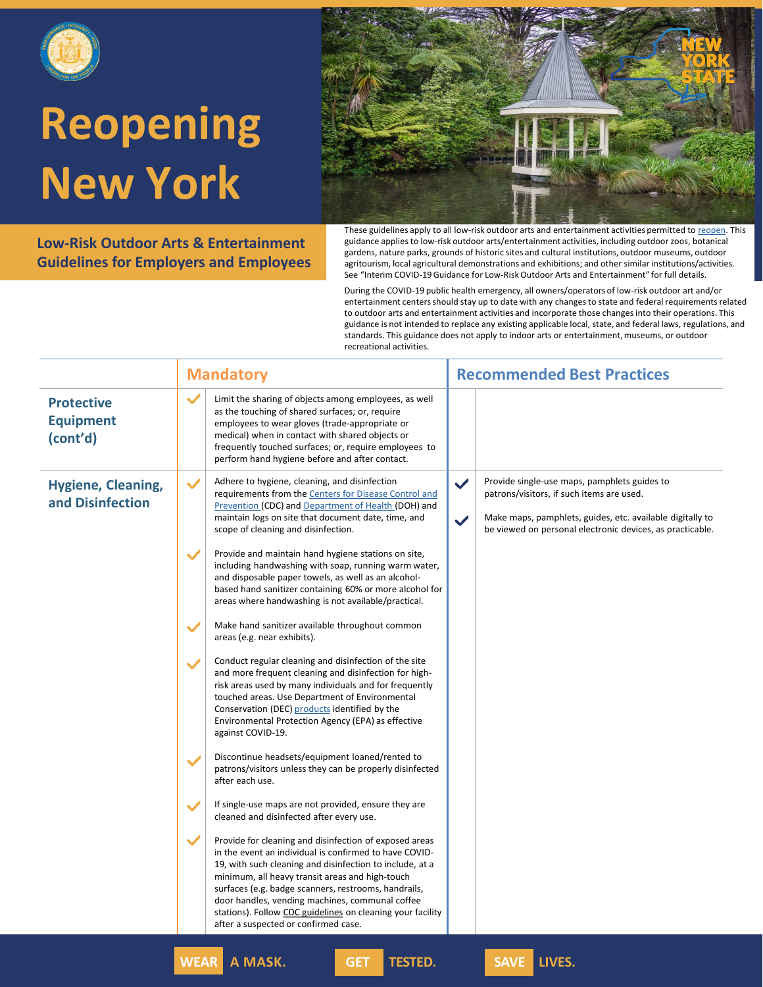

**Low-Risk Outdoor Arts & Entertainment Guidelines for Employers and Employees**

These guidelines apply to all low-risk outdoor arts and entertainment activities permitted to [reopen.](https://forward.ny.gov/) This guidance applies to low-risk outdoor arts/entertainment activities, including outdoor zoos, botanical gardens, nature parks, grounds of historic sites and cultural institutions, outdoor museums, outdoor agritourism, local agricultural demonstrations and exhibitions; and other similar institutions/activities. See "Interim COVID-19 Guidance for Low-Risk Outdoor Arts and Entertainment" for full details.

During the COVID-19 public health emergency, all owners/operators of low-risk outdoor art and/or entertainment centers should stay up to date with any changes to state and federal requirements related to outdoor arts and entertainment activities and incorporate those changes into their operations. This guidance is not intended to replace any existing applicable local, state, and federal laws, regulations, and standards. This guidance does not apply to indoor arts or entertainment, museums, or outdoor recreational activities.

|                                                   | <b>Mandatory</b>                                                                                                                                                                                                                                                                                                                                                                                                                                                 | <b>Recommended Best Practices</b>                                                                                                                                                                                                                   |
|---------------------------------------------------|------------------------------------------------------------------------------------------------------------------------------------------------------------------------------------------------------------------------------------------------------------------------------------------------------------------------------------------------------------------------------------------------------------------------------------------------------------------|-----------------------------------------------------------------------------------------------------------------------------------------------------------------------------------------------------------------------------------------------------|
| <b>Protective</b><br><b>Equipment</b><br>(cont'd) | $\checkmark$<br>Limit the sharing of objects among employees, as well<br>as the touching of shared surfaces; or, require<br>employees to wear gloves (trade-appropriate or<br>medical) when in contact with shared objects or<br>frequently touched surfaces; or, require employees to<br>perform hand hygiene before and after contact.                                                                                                                         |                                                                                                                                                                                                                                                     |
| <b>Hygiene, Cleaning,</b><br>and Disinfection     | $\checkmark$<br>Adhere to hygiene, cleaning, and disinfection<br>requirements from the Centers for Disease Control and<br>Prevention (CDC) and Department of Health (DOH) and<br>maintain logs on site that document date, time, and<br>scope of cleaning and disinfection.                                                                                                                                                                                      | Provide single-use maps, pamphlets guides to<br>$\checkmark$<br>patrons/visitors, if such items are used.<br>Make maps, pamphlets, guides, etc. available digitally to<br>$\checkmark$<br>be viewed on personal electronic devices, as practicable. |
|                                                   | Provide and maintain hand hygiene stations on site,<br>$\checkmark$<br>including handwashing with soap, running warm water,<br>and disposable paper towels, as well as an alcohol-<br>based hand sanitizer containing 60% or more alcohol for<br>areas where handwashing is not available/practical.                                                                                                                                                             |                                                                                                                                                                                                                                                     |
|                                                   | Make hand sanitizer available throughout common<br>$\checkmark$<br>areas (e.g. near exhibits).                                                                                                                                                                                                                                                                                                                                                                   |                                                                                                                                                                                                                                                     |
|                                                   | Conduct regular cleaning and disinfection of the site<br>$\checkmark$<br>and more frequent cleaning and disinfection for high-<br>risk areas used by many individuals and for frequently<br>touched areas. Use Department of Environmental<br>Conservation (DEC) products identified by the<br>Environmental Protection Agency (EPA) as effective<br>against COVID-19.                                                                                           |                                                                                                                                                                                                                                                     |
|                                                   | Discontinue headsets/equipment loaned/rented to<br>$\checkmark$<br>patrons/visitors unless they can be properly disinfected<br>after each use.                                                                                                                                                                                                                                                                                                                   |                                                                                                                                                                                                                                                     |
|                                                   | If single-use maps are not provided, ensure they are<br>$\checkmark$<br>cleaned and disinfected after every use.                                                                                                                                                                                                                                                                                                                                                 |                                                                                                                                                                                                                                                     |
|                                                   | $\checkmark$<br>Provide for cleaning and disinfection of exposed areas<br>in the event an individual is confirmed to have COVID-<br>19, with such cleaning and disinfection to include, at a<br>minimum, all heavy transit areas and high-touch<br>surfaces (e.g. badge scanners, restrooms, handrails,<br>door handles, vending machines, communal coffee<br>stations). Follow CDC guidelines on cleaning your facility<br>after a suspected or confirmed case. |                                                                                                                                                                                                                                                     |
|                                                   | <b>WEAR</b><br>A MASK.<br><b>TESTED.</b><br><b>GET</b>                                                                                                                                                                                                                                                                                                                                                                                                           | SAVE LIVES.                                                                                                                                                                                                                                         |